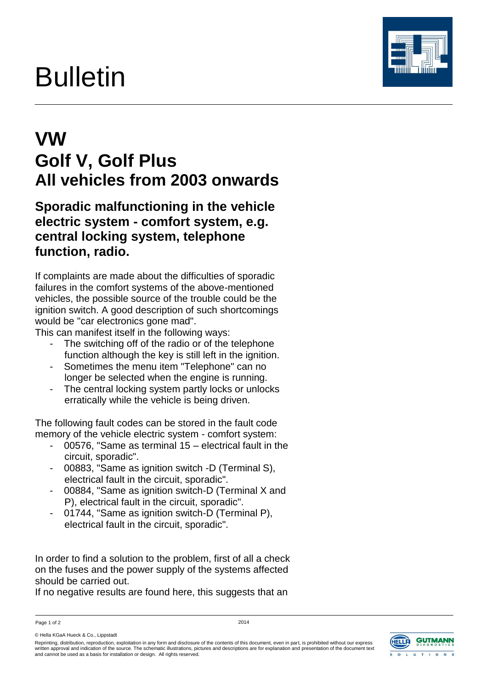## Bulletin



## **VW Golf V, Golf Plus All vehicles from 2003 onwards**

## **Sporadic malfunctioning in the vehicle electric system - comfort system, e.g. central locking system, telephone function, radio.**

If complaints are made about the difficulties of sporadic failures in the comfort systems of the above-mentioned vehicles, the possible source of the trouble could be the ignition switch. A good description of such shortcomings would be "car electronics gone mad".

This can manifest itself in the following ways:

- The switching off of the radio or of the telephone function although the key is still left in the ignition.
- Sometimes the menu item "Telephone" can no longer be selected when the engine is running.
- The central locking system partly locks or unlocks erratically while the vehicle is being driven.

The following fault codes can be stored in the fault code memory of the vehicle electric system - comfort system:

- 00576, "Same as terminal 15 electrical fault in the circuit, sporadic".
- 00883, "Same as ignition switch -D (Terminal S), electrical fault in the circuit, sporadic".
- 00884, "Same as ignition switch-D (Terminal X and P), electrical fault in the circuit, sporadic".
- 01744, "Same as ignition switch-D (Terminal P), electrical fault in the circuit, sporadic".

In order to find a solution to the problem, first of all a check on the fuses and the power supply of the systems affected should be carried out.

If no negative results are found here, this suggests that an

© Hella KGaA Hueck & Co., Lippstadt

Reprinting, distribution, reproduction, exploitation in any form and disclosure of the contents of this document, even in part, is prohibited without our express written approval and indication of the source. The schematic illustrations, pictures and descriptions are for explanation and presentation of the document text and cannot be used as a basis for installation or design. All rights reserved.



Page 1 of 2 2014